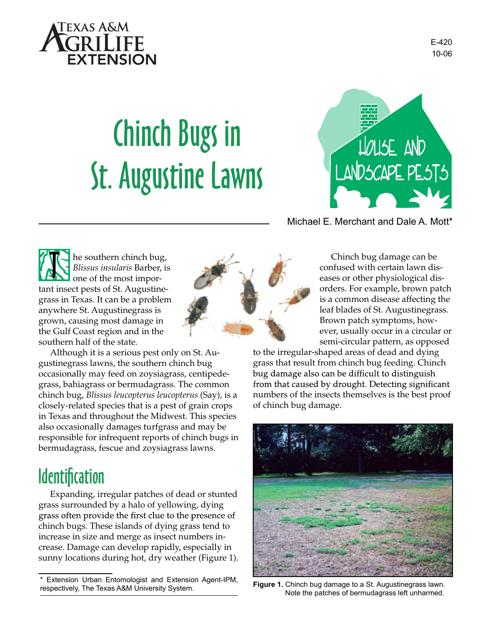

# Chinch Bugs in St. Augustine Lawns



Michael E. Merchant and Dale A. Mott\*

he southern chinch bug, *Blissus insularis* Barber, is one of the most important insect pests of St. Augustinegrass in Texas. It can be a problem anywhere St. Augustinegrass is grown, causing most damage in the Gulf Coast region and in the southern half of the state. **T** 

Although it is a serious pest only on St. Augustinegrass lawns, the southern chinch bug occasionally may feed on zoysiagrass, centipedegrass, bahiagrass or bermudagrass. The common chinch bug, *Blissus leucopterus leucopterus* (Say), is a closely-related species that is a pest of grain crops in Texas and throughout the Midwest. This species also occasionally damages turfgrass and may be responsible for infrequent reports of chinch bugs in bermudagrass, fescue and zoysiagrass lawns.

## **Identification**

Expanding, irregular patches of dead or stunted grass surrounded by a halo of yellowing, dying grass often provide the first clue to the presence of chinch bugs. These islands of dying grass tend to increase in size and merge as insect numbers increase. Damage can develop rapidly, especially in sunny locations during hot, dry weather (Figure 1).

Chinch bug damage can be confused with certain lawn diseases or other physiological disorders. For example, brown patch is a common disease affecting the leaf blades of St. Augustinegrass. Brown patch symptoms, however, usually occur in a circular or semi-circular pattern, as opposed

to the irregular-shaped areas of dead and dying grass that result from chinch bug feeding. Chinch bug damage also can be difficult to distinguish from that caused by drought. Detecting significant numbers of the insects themselves is the best proof of chinch bug damage.



Note the patches of bermudagrass left unharmed.

Extension Urban Entomologist and Extension Agent-IPM, respectively, The Texas A&M University System. **Figure 1.** Chinch bug damage to a St. Augustinegrass lawn.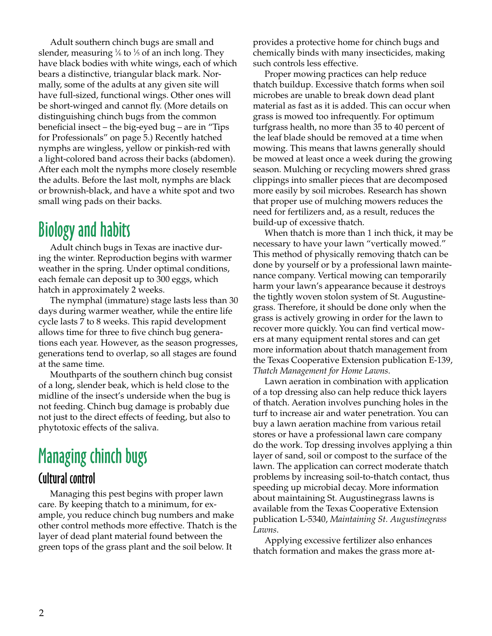Adult southern chinch bugs are small and slender, measuring  $\frac{1}{6}$  to  $\frac{1}{5}$  of an inch long. They have black bodies with white wings, each of which bears a distinctive, triangular black mark. Normally, some of the adults at any given site will have full-sized, functional wings. Other ones will be short-winged and cannot fly. (More details on distinguishing chinch bugs from the common beneficial insect – the big-eyed bug – are in "Tips for Professionals" on page 5.) Recently hatched nymphs are wingless, yellow or pinkish-red with a light-colored band across their backs (abdomen). After each molt the nymphs more closely resemble the adults. Before the last molt, nymphs are black or brownish-black, and have a white spot and two small wing pads on their backs.

## Biology and habits

Adult chinch bugs in Texas are inactive during the winter. Reproduction begins with warmer weather in the spring. Under optimal conditions, each female can deposit up to 300 eggs, which hatch in approximately 2 weeks.

The nymphal (immature) stage lasts less than 30 days during warmer weather, while the entire life cycle lasts 7 to 8 weeks. This rapid development allows time for three to five chinch bug generations each year. However, as the season progresses, generations tend to overlap, so all stages are found at the same time.

Mouthparts of the southern chinch bug consist of a long, slender beak, which is held close to the midline of the insect's underside when the bug is not feeding. Chinch bug damage is probably due not just to the direct effects of feeding, but also to phytotoxic effects of the saliva.

## Managing chinch bugs

#### Cultural control

Managing this pest begins with proper lawn care. By keeping thatch to a minimum, for example, you reduce chinch bug numbers and make other control methods more effective. Thatch is the layer of dead plant material found between the green tops of the grass plant and the soil below. It

provides a protective home for chinch bugs and chemically binds with many insecticides, making such controls less effective.

Proper mowing practices can help reduce thatch buildup. Excessive thatch forms when soil microbes are unable to break down dead plant material as fast as it is added. This can occur when grass is mowed too infrequently. For optimum turfgrass health, no more than 35 to 40 percent of the leaf blade should be removed at a time when mowing. This means that lawns generally should be mowed at least once a week during the growing season. Mulching or recycling mowers shred grass clippings into smaller pieces that are decomposed more easily by soil microbes. Research has shown that proper use of mulching mowers reduces the need for fertilizers and, as a result, reduces the build-up of excessive thatch.

When thatch is more than 1 inch thick, it may be necessary to have your lawn "vertically mowed." This method of physically removing thatch can be done by yourself or by a professional lawn maintenance company. Vertical mowing can temporarily harm your lawn's appearance because it destroys the tightly woven stolon system of St. Augustinegrass. Therefore, it should be done only when the grass is actively growing in order for the lawn to recover more quickly. You can find vertical mowers at many equipment rental stores and can get more information about thatch management from the Texas Cooperative Extension publication E-139, *Thatch Management for Home Lawns*.

Lawn aeration in combination with application of a top dressing also can help reduce thick layers of thatch. Aeration involves punching holes in the turf to increase air and water penetration. You can buy a lawn aeration machine from various retail stores or have a professional lawn care company do the work. Top dressing involves applying a thin layer of sand, soil or compost to the surface of the lawn. The application can correct moderate thatch problems by increasing soil-to-thatch contact, thus speeding up microbial decay. More information about maintaining St. Augustinegrass lawns is available from the Texas Cooperative Extension publication L-5340, *Maintaining St. Augustinegrass Lawns*.

Applying excessive fertilizer also enhances thatch formation and makes the grass more at-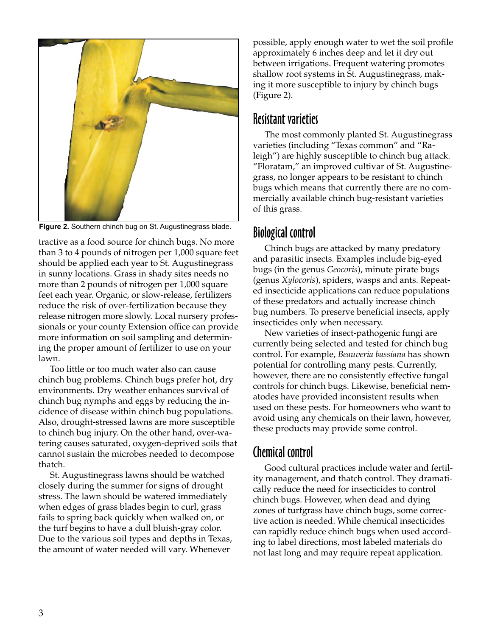

**Figure 2.** Southern chinch bug on St. Augustinegrass blade.

tractive as a food source for chinch bugs. No more than 3 to 4 pounds of nitrogen per 1,000 square feet should be applied each year to St. Augustinegrass in sunny locations. Grass in shady sites needs no more than 2 pounds of nitrogen per 1,000 square feet each year. Organic, or slow-release, fertilizers reduce the risk of over-fertilization because they release nitrogen more slowly. Local nursery professionals or your county Extension office can provide more information on soil sampling and determining the proper amount of fertilizer to use on your lawn.

Too little or too much water also can cause chinch bug problems. Chinch bugs prefer hot, dry environments. Dry weather enhances survival of chinch bug nymphs and eggs by reducing the incidence of disease within chinch bug populations. Also, drought-stressed lawns are more susceptible to chinch bug injury. On the other hand, over-watering causes saturated, oxygen-deprived soils that cannot sustain the microbes needed to decompose thatch.

St. Augustinegrass lawns should be watched closely during the summer for signs of drought stress. The lawn should be watered immediately when edges of grass blades begin to curl, grass fails to spring back quickly when walked on, or the turf begins to have a dull bluish-gray color. Due to the various soil types and depths in Texas, the amount of water needed will vary. Whenever

possible, apply enough water to wet the soil profile approximately 6 inches deep and let it dry out between irrigations. Frequent watering promotes shallow root systems in St. Augustinegrass, making it more susceptible to injury by chinch bugs (Figure 2).

#### Resistant varieties

The most commonly planted St. Augustinegrass varieties (including "Texas common" and "Raleigh") are highly susceptible to chinch bug attack. "Floratam," an improved cultivar of St. Augustinegrass, no longer appears to be resistant to chinch bugs which means that currently there are no commercially available chinch bug-resistant varieties of this grass.

#### Biological control

Chinch bugs are attacked by many predatory and parasitic insects. Examples include big-eyed bugs (in the genus *Geocoris*), minute pirate bugs (genus *Xylocoris*), spiders, wasps and ants. Repeated insecticide applications can reduce populations of these predators and actually increase chinch bug numbers. To preserve beneficial insects, apply insecticides only when necessary.

New varieties of insect-pathogenic fungi are currently being selected and tested for chinch bug control. For example, *Beauveria bassiana* has shown potential for controlling many pests. Currently, however, there are no consistently effective fungal controls for chinch bugs. Likewise, beneficial nematodes have provided inconsistent results when used on these pests. For homeowners who want to avoid using any chemicals on their lawn, however, these products may provide some control.

### Chemical control

Good cultural practices include water and fertility management, and thatch control. They dramatically reduce the need for insecticides to control chinch bugs. However, when dead and dying zones of turfgrass have chinch bugs, some corrective action is needed. While chemical insecticides can rapidly reduce chinch bugs when used according to label directions, most labeled materials do not last long and may require repeat application.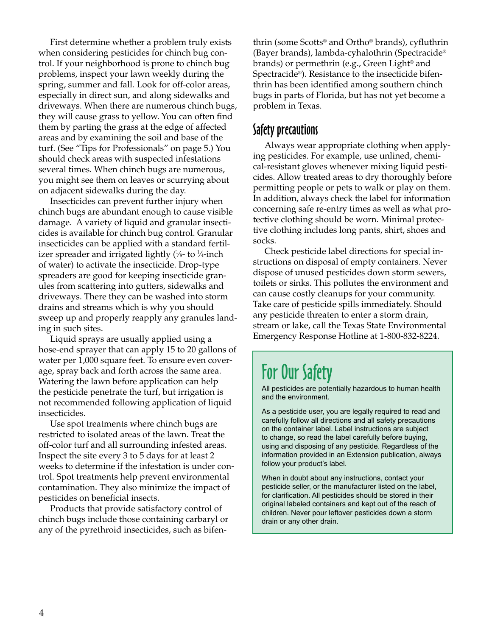First determine whether a problem truly exists when considering pesticides for chinch bug control. If your neighborhood is prone to chinch bug problems, inspect your lawn weekly during the spring, summer and fall. Look for off-color areas, especially in direct sun, and along sidewalks and driveways. When there are numerous chinch bugs, they will cause grass to yellow. You can often find them by parting the grass at the edge of affected areas and by examining the soil and base of the turf. (See "Tips for Professionals" on page 5.) You should check areas with suspected infestations several times. When chinch bugs are numerous, you might see them on leaves or scurrying about on adjacent sidewalks during the day.

Insecticides can prevent further injury when chinch bugs are abundant enough to cause visible damage. A variety of liquid and granular insecticides is available for chinch bug control. Granular insecticides can be applied with a standard fertilizer spreader and irrigated lightly (1⁄8- to 1⁄4-inch of water) to activate the insecticide. Drop-type spreaders are good for keeping insecticide granules from scattering into gutters, sidewalks and driveways. There they can be washed into storm drains and streams which is why you should sweep up and properly reapply any granules landing in such sites.

Liquid sprays are usually applied using a hose-end sprayer that can apply 15 to 20 gallons of water per 1,000 square feet. To ensure even coverage, spray back and forth across the same area. Watering the lawn before application can help the pesticide penetrate the turf, but irrigation is not recommended following application of liquid insecticides.

Use spot treatments where chinch bugs are restricted to isolated areas of the lawn. Treat the off-color turf and all surrounding infested areas. Inspect the site every 3 to 5 days for at least 2 weeks to determine if the infestation is under control. Spot treatments help prevent environmental contamination. They also minimize the impact of pesticides on beneficial insects.

Products that provide satisfactory control of chinch bugs include those containing carbaryl or any of the pyrethroid insecticides, such as bifenthrin (some Scotts® and Ortho® brands), cyfluthrin (Bayer brands), lambda-cyhalothrin (Spectracide® brands) or permethrin (e.g., Green Light® and Spectracide®). Resistance to the insecticide bifenthrin has been identified among southern chinch bugs in parts of Florida, but has not yet become a problem in Texas.

#### Safety precautions

Always wear appropriate clothing when applying pesticides. For example, use unlined, chemical-resistant gloves whenever mixing liquid pesticides. Allow treated areas to dry thoroughly before permitting people or pets to walk or play on them. In addition, always check the label for information concerning safe re-entry times as well as what protective clothing should be worn. Minimal protective clothing includes long pants, shirt, shoes and socks.

Check pesticide label directions for special instructions on disposal of empty containers. Never dispose of unused pesticides down storm sewers, toilets or sinks. This pollutes the environment and can cause costly cleanups for your community. Take care of pesticide spills immediately. Should any pesticide threaten to enter a storm drain, stream or lake, call the Texas State Environmental Emergency Response Hotline at 1-800-832-8224.

## For Our Safety

All pesticides are potentially hazardous to human health and the environment.

As a pesticide user, you are legally required to read and carefully follow all directions and all safety precautions on the container label. Label instructions are subject to change, so read the label carefully before buying, using and disposing of any pesticide. Regardless of the information provided in an Extension publication, always follow your product's label.

When in doubt about any instructions, contact your pesticide seller, or the manufacturer listed on the label, for clarification. All pesticides should be stored in their original labeled containers and kept out of the reach of children. Never pour leftover pesticides down a storm drain or any other drain.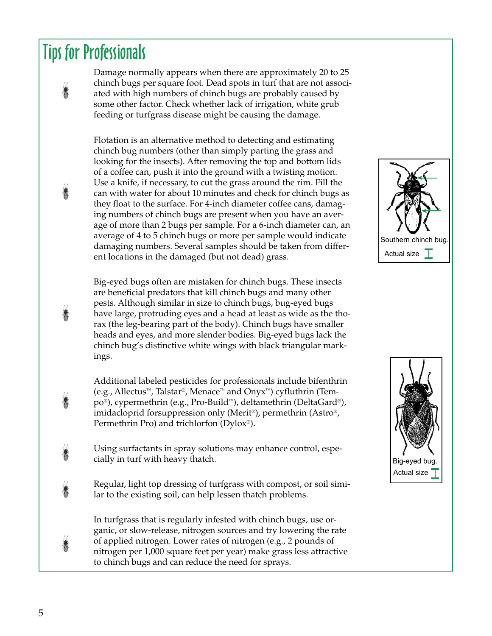## Tips for Professionals

Damage normally appears when there are approximately 20 to 25 chinch bugs per square foot. Dead spots in turf that are not associated with high numbers of chinch bugs are probably caused by some other factor. Check whether lack of irrigation, white grub feeding or turfgrass disease might be causing the damage.

Flotation is an alternative method to detecting and estimating chinch bug numbers (other than simply parting the grass and looking for the insects). After removing the top and bottom lids of a coffee can, push it into the ground with a twisting motion. Use a knife, if necessary, to cut the grass around the rim. Fill the can with water for about 10 minutes and check for chinch bugs as they float to the surface. For 4-inch diameter coffee cans, damaging numbers of chinch bugs are present when you have an average of more than 2 bugs per sample. For a 6-inch diameter can, an average of 4 to 5 chinch bugs or more per sample would indicate damaging numbers. Several samples should be taken from different locations in the damaged (but not dead) grass.

Big-eyed bugs often are mistaken for chinch bugs. These insects are beneficial predators that kill chinch bugs and many other pests. Although similar in size to chinch bugs, bug-eyed bugs have large, protruding eyes and a head at least as wide as the thorax (the leg-bearing part of the body). Chinch bugs have smaller heads and eyes, and more slender bodies. Big-eyed bugs lack the chinch bug's distinctive white wings with black triangular markings.

Additional labeled pesticides for professionals include bifenthrin (e.g., Allectus™, Talstar®, Menace™ and Onyx™) cyfluthrin (Tempo®), cypermethrin (e.g., Pro-Build™), deltamethrin (DeltaGard®), imidacloprid forsuppression only (Merit®), permethrin (Astro®, Permethrin Pro) and trichlorfon (Dylox®).

Using surfactants in spray solutions may enhance control, especially in turf with heavy thatch.

Regular, light top dressing of turfgrass with compost, or soil similar to the existing soil, can help lessen thatch problems.

In turfgrass that is regularly infested with chinch bugs, use organic, or slow-release, nitrogen sources and try lowering the rate of applied nitrogen. Lower rates of nitrogen (e.g., 2 pounds of nitrogen per 1,000 square feet per year) make grass less attractive to chinch bugs and can reduce the need for sprays.